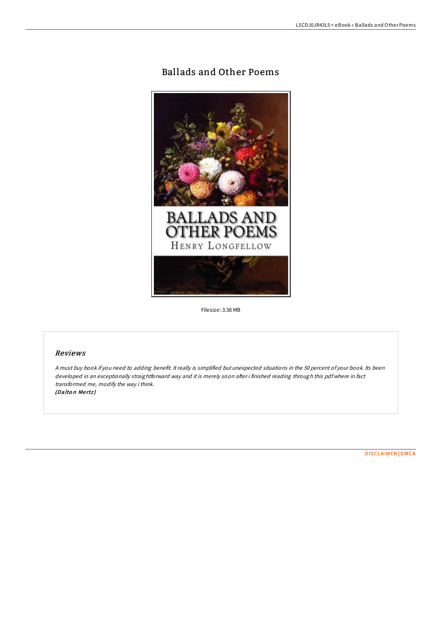# Ballads and Other Poems



Filesize: 3.38 MB

## Reviews

<sup>A</sup> must buy book if you need to adding benefit. It really is simplified but unexpected situations in the 50 percent of your book. Its been developed in an exceptionally straightforward way and it is merely soon after i finished reading through this pdf where in fact transformed me, modify the way i think. (Dalton Mertz)

[DISCLAIMER](http://almighty24.tech/disclaimer.html) | [DMCA](http://almighty24.tech/dmca.html)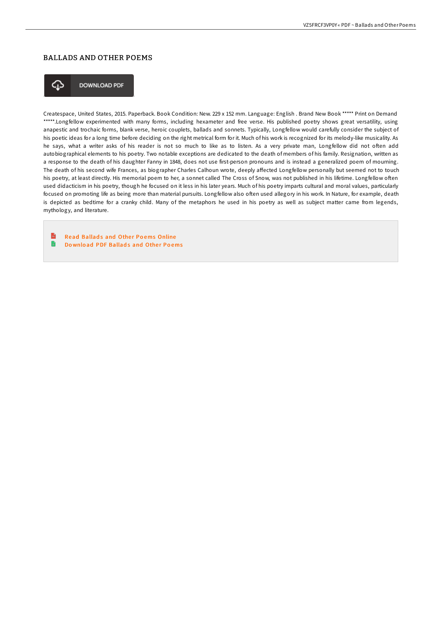## BALLADS AND OTHER POEMS



**DOWNLOAD PDF** 

Createspace, United States, 2015. Paperback. Book Condition: New. 229 x 152 mm. Language: English . Brand New Book \*\*\*\*\* Print on Demand \*\*\*\*\*.Longfellow experimented with many forms, including hexameter and free verse. His published poetry shows great versatility, using anapestic and trochaic forms, blank verse, heroic couplets, ballads and sonnets. Typically, Longfellow would carefully consider the subject of his poetic ideas for a long time before deciding on the right metrical form for it. Much of his work is recognized for its melody-like musicality. As he says, what a writer asks of his reader is not so much to like as to listen. As a very private man, Longfellow did not often add autobiographical elements to his poetry. Two notable exceptions are dedicated to the death of members of his family. Resignation, written as a response to the death of his daughter Fanny in 1848, does not use first-person pronouns and is instead a generalized poem of mourning. The death of his second wife Frances, as biographer Charles Calhoun wrote, deeply affected Longfellow personally but seemed not to touch his poetry, at least directly. His memorial poem to her, a sonnet called The Cross of Snow, was not published in his lifetime. Longfellow often used didacticism in his poetry, though he focused on it less in his later years. Much of his poetry imparts cultural and moral values, particularly focused on promoting life as being more than material pursuits. Longfellow also often used allegory in his work. In Nature, for example, death is depicted as bedtime for a cranky child. Many of the metaphors he used in his poetry as well as subject matter came from legends, mythology, and literature.

 $\mathbb{R}$ Read Ballads and Other Poems [Online](http://almighty24.tech/ballads-and-other-poems-paperback.html) n Download PDF [Ballad](http://almighty24.tech/ballads-and-other-poems-paperback.html)s and Other Poems